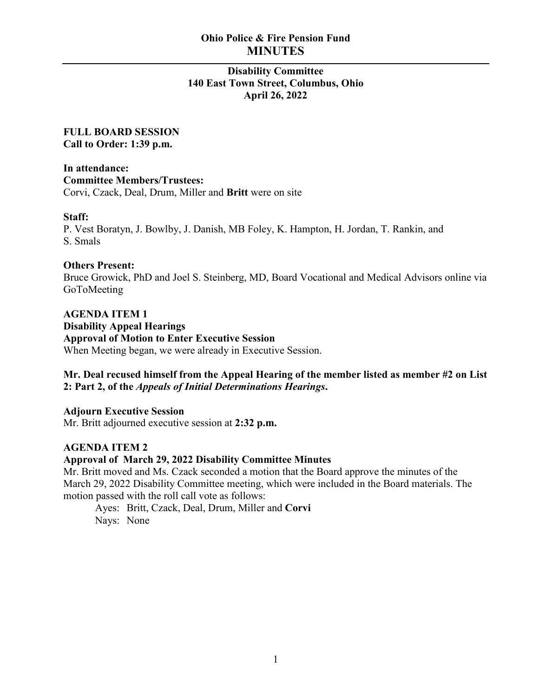# **Ohio Police & Fire Pension Fund MINUTES**

# **Disability Committee 140 East Town Street, Columbus, Ohio April 26, 2022**

**FULL BOARD SESSION Call to Order: 1:39 p.m.**

**In attendance: Committee Members/Trustees:** Corvi, Czack, Deal, Drum, Miller and **Britt** were on site

### **Staff:**

P. Vest Boratyn, J. Bowlby, J. Danish, MB Foley, K. Hampton, H. Jordan, T. Rankin, and S. Smals

#### **Others Present:**

Bruce Growick, PhD and Joel S. Steinberg, MD, Board Vocational and Medical Advisors online via GoToMeeting

**AGENDA ITEM 1 Disability Appeal Hearings Approval of Motion to Enter Executive Session** When Meeting began, we were already in Executive Session.

### **Mr. Deal recused himself from the Appeal Hearing of the member listed as member #2 on List 2: Part 2, of the** *Appeals of Initial Determinations Hearings***.**

**Adjourn Executive Session** Mr. Britt adjourned executive session at **2:32 p.m.**

### **AGENDA ITEM 2**

#### **Approval of March 29, 2022 Disability Committee Minutes**

Mr. Britt moved and Ms. Czack seconded a motion that the Board approve the minutes of the March 29, 2022 Disability Committee meeting, which were included in the Board materials. The motion passed with the roll call vote as follows:

Ayes: Britt, Czack, Deal, Drum, Miller and **Corvi** Nays: None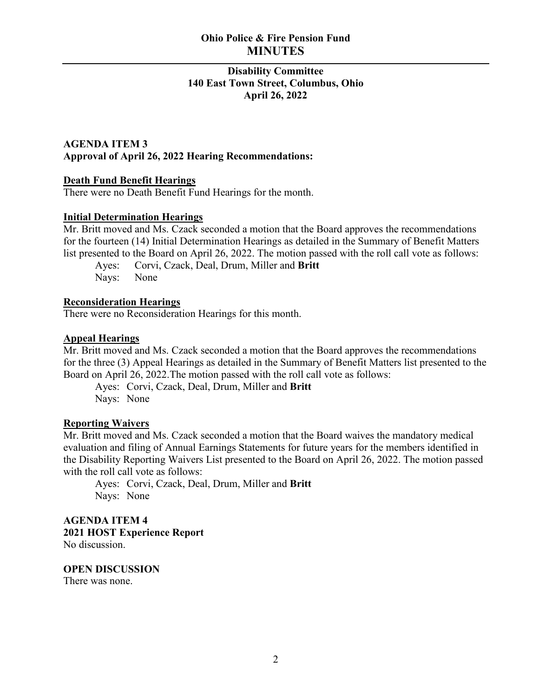# **Ohio Police & Fire Pension Fund MINUTES**

# **Disability Committee 140 East Town Street, Columbus, Ohio April 26, 2022**

# **AGENDA ITEM 3 Approval of April 26, 2022 Hearing Recommendations:**

# **Death Fund Benefit Hearings**

There were no Death Benefit Fund Hearings for the month.

### **Initial Determination Hearings**

Mr. Britt moved and Ms. Czack seconded a motion that the Board approves the recommendations for the fourteen (14) Initial Determination Hearings as detailed in the Summary of Benefit Matters list presented to the Board on April 26, 2022. The motion passed with the roll call vote as follows:

Ayes: Corvi, Czack, Deal, Drum, Miller and **Britt** Nays: None

# **Reconsideration Hearings**

There were no Reconsideration Hearings for this month.

# **Appeal Hearings**

Mr. Britt moved and Ms. Czack seconded a motion that the Board approves the recommendations for the three (3) Appeal Hearings as detailed in the Summary of Benefit Matters list presented to the Board on April 26, 2022.The motion passed with the roll call vote as follows:

Ayes: Corvi, Czack, Deal, Drum, Miller and **Britt** Nays: None

### **Reporting Waivers**

Mr. Britt moved and Ms. Czack seconded a motion that the Board waives the mandatory medical evaluation and filing of Annual Earnings Statements for future years for the members identified in the Disability Reporting Waivers List presented to the Board on April 26, 2022. The motion passed with the roll call vote as follows:

Ayes: Corvi, Czack, Deal, Drum, Miller and **Britt** Nays: None

**AGENDA ITEM 4 2021 HOST Experience Report** No discussion.

**OPEN DISCUSSION** There was none.